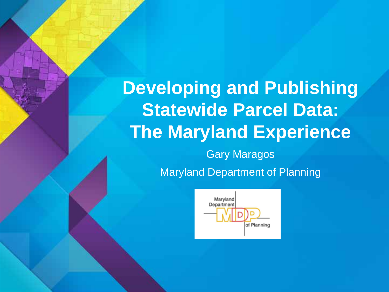# **Developing and Publishing Statewide Parcel Data: The Maryland Experience** Gary Maragos Maryland Department of Planning

Maryland Department of Planning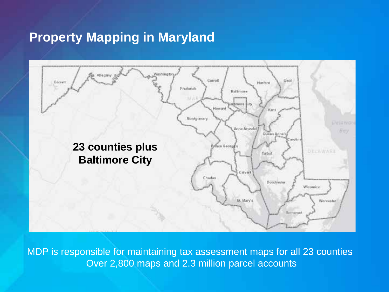## **Property Mapping in Maryland**



MDP is responsible for maintaining tax assessment maps for all 23 counties Over 2,800 maps and 2.3 million parcel accounts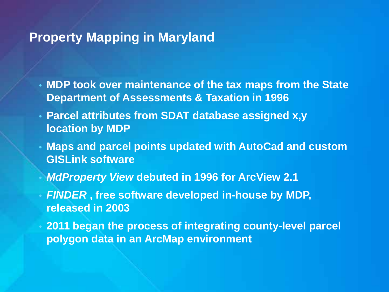## **Property Mapping in Maryland**

- **MDP took over maintenance of the tax maps from the State Department of Assessments & Taxation in 1996**
- **Parcel attributes from SDAT database assigned x,y location by MDP**
- **Maps and parcel points updated with AutoCad and custom GISLink software**
- *MdProperty View* **debuted in 1996 for ArcView 2.1**
- *FINDER* **, free software developed in-house by MDP, released in 2003**
	- **2011 began the process of integrating county-level parcel polygon data in an ArcMap environment**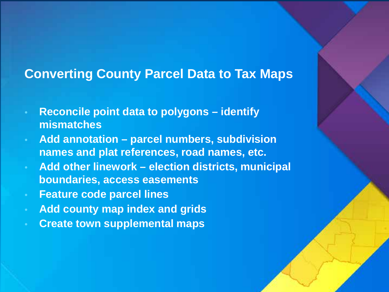## **Converting County Parcel Data to Tax Maps**

- **Reconcile point data to polygons – identify mismatches**
- **Add annotation – parcel numbers, subdivision names and plat references, road names, etc.**
- **Add other linework – election districts, municipal boundaries, access easements**
- **Feature code parcel lines**
- **Add county map index and grids**
- **Create town supplemental maps**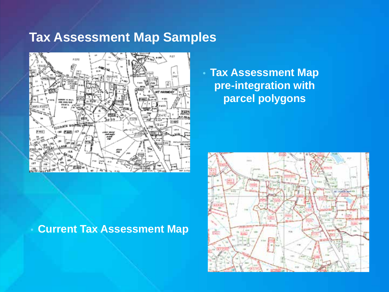## **Tax Assessment Map Samples**



• **Current Tax Assessment Map**

• **Tax Assessment Map pre-integration with parcel polygons**

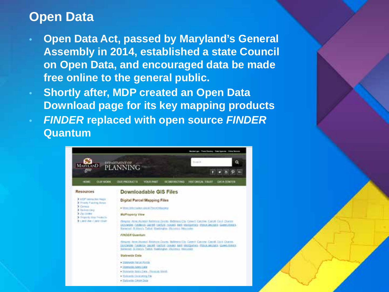## **Open Data**

- **Open Data Act, passed by Maryland's General Assembly in 2014, established a state Council on Open Data, and encouraged data be made free online to the general public.**
- **Shortly after, MDP created an Open Data Download page for its key mapping products**
- *FINDER* **replaced with open source** *FINDER* **Quantum**

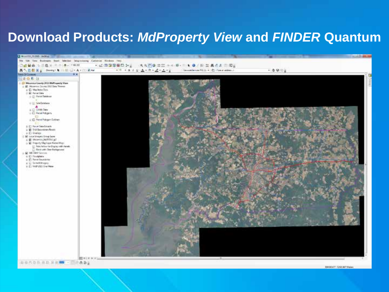## **Download Products:** *MdProperty View* **and** *FINDER* **Quantum**



Southbarr 72421367 Market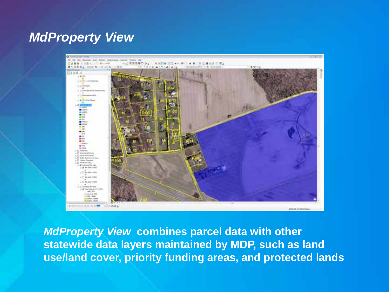## *MdProperty View*



*MdProperty View* **combines parcel data with other statewide data layers maintained by MDP, such as land use/land cover, priority funding areas, and protected lands**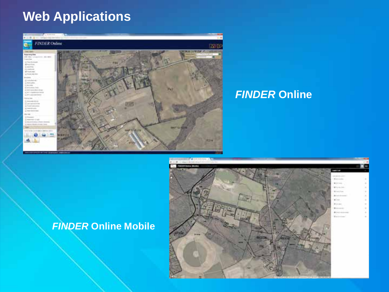## **Web Applications**



### *FINDER* **Online**

### *FINDER* **Online Mobile**

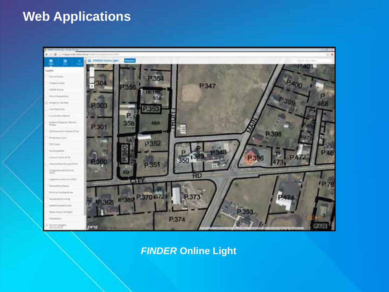## **Web Applications**



*FINDER* **Online Light**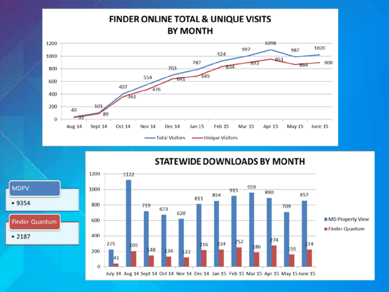### FINDER ONLINE TOTAL & UNIQUE VISITS **BY MONTH**



STATEWIDE DOWNLOADS BY MONTH



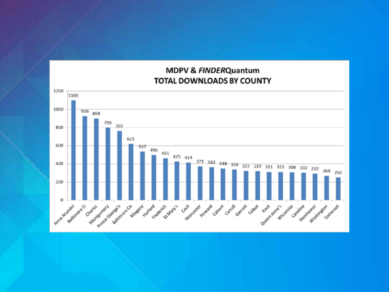#### MDPV & FINDERQuantum TOTAL DOWNLOADS BY COUNTY

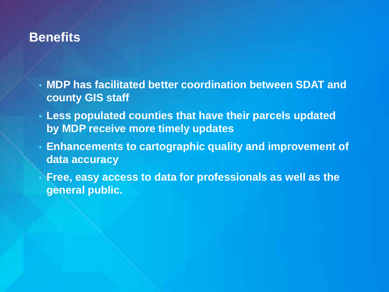## **Benefits**

- **MDP has facilitated better coordination between SDAT and county GIS staff**
- **Less populated counties that have their parcels updated by MDP receive more timely updates**
- **Enhancements to cartographic quality and improvement of data accuracy**

• **Free, easy access to data for professionals as well as the general public.**